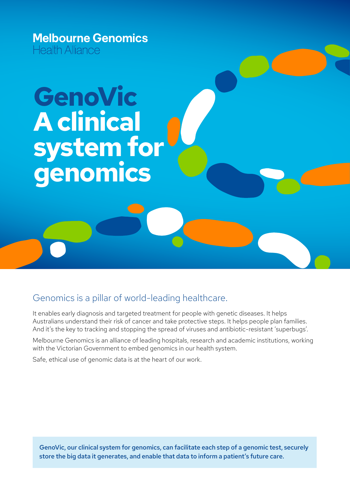**Melbourne Genomics** Health Alliance

# **GenoVic A clinical system for genomics**

#### Genomics is a pillar of world-leading healthcare.

It enables early diagnosis and targeted treatment for people with genetic diseases. It helps Australians understand their risk of cancer and take protective steps. It helps people plan families. And it's the key to tracking and stopping the spread of viruses and antibiotic-resistant 'superbugs'.

Melbourne Genomics is an alliance of leading hospitals, research and academic institutions, working with the Victorian Government to embed genomics in our health system.

Safe, ethical use of genomic data is at the heart of our work.

GenoVic, our clinical system for genomics, can facilitate each step of a genomic test, securely store the big data it generates, and enable that data to inform a patient's future care.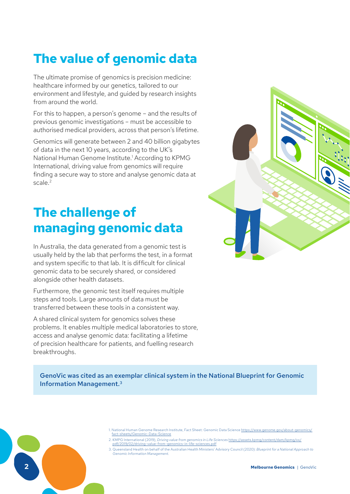### **The value of genomic data**

The ultimate promise of genomics is precision medicine: healthcare informed by our genetics, tailored to our environment and lifestyle, and guided by research insights from around the world.

For this to happen, a person's genome – and the results of previous genomic investigations – must be accessible to authorised medical providers, across that person's lifetime.

Genomics will generate between 2 and 40 billion gigabytes of data in the next 10 years, according to the UK's National Human Genome Institute.1 According to KPMG International, driving value from genomics will require finding a secure way to store and analyse genomic data at scale.<sup>2</sup>

### **The challenge of managing genomic data**

In Australia, the data generated from a genomic test is usually held by the lab that performs the test, in a format and system specific to that lab. It is difficult for clinical genomic data to be securely shared, or considered alongside other health datasets.

Furthermore, the genomic test itself requires multiple steps and tools. Large amounts of data must be transferred between these tools in a consistent way.

A shared clinical system for genomics solves these problems. It enables multiple medical laboratories to store, access and analyse genomic data: facilitating a lifetime of precision healthcare for patients, and fuelling research breakthroughs.



GenoVic was cited as an exemplar clinical system in the National Blueprint for Genomic Information Management.3

- 1. National Human Genome Research Institute, Fact Sheet: Genomic Data Science [https://www.genome.gov/about-genomics/](https://www.genome.gov/about-genomics/fact-sheets/Genomic-Data-Science) [fact-sheets/Genomic-Data-Science](https://www.genome.gov/about-genomics/fact-sheets/Genomic-Data-Science)
- 2. KMPG International (2019), *Driving value from genomics in Life Sciences* [https://assets.kpmg/content/dam/kpmg/xx/](https://assets.kpmg/content/dam/kpmg/xx/pdf/2019/02/driving-value-from-genomics-in-life-sciences.pdf)
	- [pdf/2019/02/driving-value-from-genomics-in-life-sciences.pdf](https://assets.kpmg/content/dam/kpmg/xx/pdf/2019/02/driving-value-from-genomics-in-life-sciences.pdf)
- 3. Queensland Health on behalf of the Australian Health Ministers' Advisory Council (2020): *Blueprint for a National Approach to Genomic Information Management.*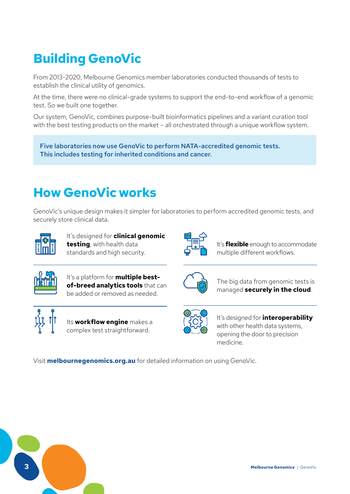### **Building GenoVic**

From 2013-2020, Melbourne Genomics member laboratories conducted thousands of tests to establish the clinical utility of genomics.

At the time, there were no clinical-grade systems to support the end-to-end workflow of a genomic test. So we built one together.

Our system, GenoVic, combines purpose-built bioinformatics pipelines and a variant curation tool with the best testing products on the market – all orchestrated through a unique workflow system.

Five laboratories now use GenoVic to perform NATA-accredited genomic tests. This includes testing for inherited conditions and cancer.

### **How GenoVic works**

GenoVic's unique design makes it simpler for laboratories to perform accredited genomic tests, and securely store clinical data.



It's designed for **clinical genomic testing**, with health data standards and high security.



It's **flexible** enough to accommodate multiple different workflows.



It's a platform for **multiple bestof-breed analytics tools** that can be added or removed as needed.



Its **workflow engine** makes a complex test straightforward.



The big data from genomic tests is managed **securely in the cloud**.



It's designed for **interoperability** with other health data systems, opening the door to precision medicine.

Visit **melbournegenomics.org.au** for detailed information on using GenoVic.